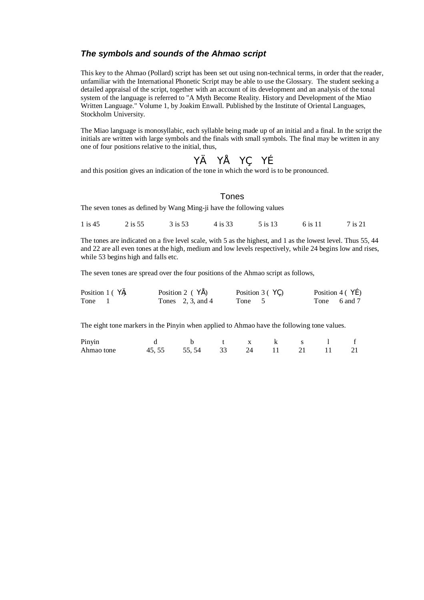## *The symbols and sounds of the Ahmao script*

This key to the Ahmao (Pollard) script has been set out using non-technical terms, in order that the reader, unfamiliar with the International Phonetic Script may be able to use the Glossary. The student seeking a detailed appraisal of the script, together with an account of its development and an analysis of the tonal system of the language is referred to "A Myth Become Reality. History and Development of the Miao Written Language." Volume 1, by Joakim Enwall. Published by the Institute of Oriental Languages, Stockholm University.

The Miao language is monosyllabic, each syllable being made up of an initial and a final. In the script the initials are written with large symbols and the finals with small symbols. The final may be written in any one of four positions relative to the initial, thus,

$$
Y \in Y \cdot Y, Yf
$$

and this position gives an indication of the tone in which the word is to be pronounced.

## Tones

The seven tones as defined by Wang Ming-ji have the following values

1 is 45 2 is 55 3 is 53 4 is 33 5 is 13 6 is 11 7 is 21

The tones are indicated on a five level scale, with 5 as the highest, and 1 as the lowest level. Thus 55, 44 and 22 are all even tones at the high, medium and low levels respectively, while 24 begins low and rises, while 53 begins high and falls etc.

The seven tones are spread over the four positions of the Ahmao script as follows,

| Position 1 ( $\forall$ <del><math>\theta</math></del> | Position 2 $(Y^{\bullet})$ | Position $3(4)$ | Position 4 $(Yf)$ |
|-------------------------------------------------------|----------------------------|-----------------|-------------------|
| Tone                                                  | Tones $2, 3,$ and 4        | Tone 5          | Tone 6 and 7      |

The eight tone markers in the Pinyin when applied to Ahmao have the following tone values.

| Pinyin     | b t x k s l f                   |  |  |  |
|------------|---------------------------------|--|--|--|
| Ahmao tone | 45, 55 55, 54 33 24 11 21 11 21 |  |  |  |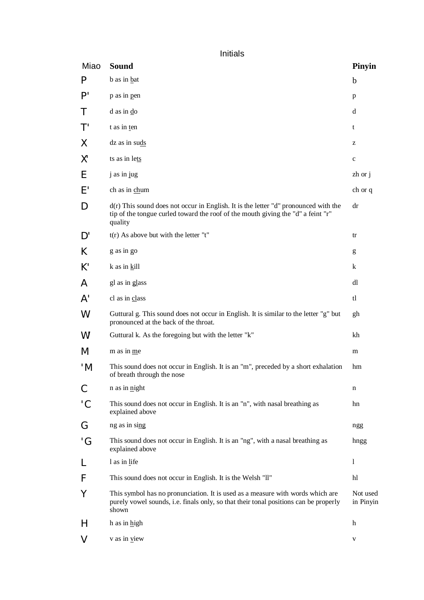Initials

| Miao         | <b>Sound</b>                                                                                                                                                                         | <b>Pinyin</b>         |
|--------------|--------------------------------------------------------------------------------------------------------------------------------------------------------------------------------------|-----------------------|
| P            | b as in bat                                                                                                                                                                          | $\mathbf b$           |
| P'           | p as in pen                                                                                                                                                                          | p                     |
| Τ            | $d$ as in $d$ o                                                                                                                                                                      | d                     |
| T'           | t as in ten                                                                                                                                                                          | t                     |
| Χ            | dz as in suds                                                                                                                                                                        | z                     |
| Χ'           | ts as in lets                                                                                                                                                                        | $\mathbf c$           |
| Ε            | j as in jug                                                                                                                                                                          | $zh$ or $j$           |
| E'           | ch as in chum                                                                                                                                                                        | ch or q               |
| D            | $d(r)$ This sound does not occur in English. It is the letter "d" pronounced with the<br>tip of the tongue curled toward the roof of the mouth giving the "d" a feint "r"<br>quality | dr                    |
| D'           | $t(r)$ As above but with the letter "t"                                                                                                                                              | tr                    |
| K.           | g as in go                                                                                                                                                                           | g                     |
| $K^{\prime}$ | k as in kill                                                                                                                                                                         | k                     |
| A            | gl as in glass                                                                                                                                                                       | dl                    |
| A'           | cl as in class                                                                                                                                                                       | tl                    |
| W            | Guttural g. This sound does not occur in English. It is similar to the letter "g" but<br>pronounced at the back of the throat.                                                       | gh                    |
| W'           | Guttural k. As the foregoing but with the letter "k"                                                                                                                                 | kh                    |
| M            | m as in me                                                                                                                                                                           | m                     |
| 'M           | This sound does not occur in English. It is an "m", preceded by a short exhalation<br>of breath through the nose                                                                     | hm                    |
| С            | n as in night                                                                                                                                                                        | n                     |
| 'C           | This sound does not occur in English. It is an "n", with nasal breathing as<br>explained above                                                                                       | hn                    |
| G            | ng as in sing                                                                                                                                                                        | ngg                   |
| 'G           | This sound does not occur in English. It is an "ng", with a nasal breathing as<br>explained above                                                                                    | hngg                  |
| L            | 1 as in life                                                                                                                                                                         | 1                     |
| F            | This sound does not occur in English. It is the Welsh "ll"                                                                                                                           | hl                    |
| Υ            | This symbol has no pronunciation. It is used as a measure with words which are<br>purely vowel sounds, i.e. finals only, so that their tonal positions can be properly<br>shown      | Not used<br>in Pinyin |
| H            | h as in high                                                                                                                                                                         | h                     |
| V            | v as in view                                                                                                                                                                         | V                     |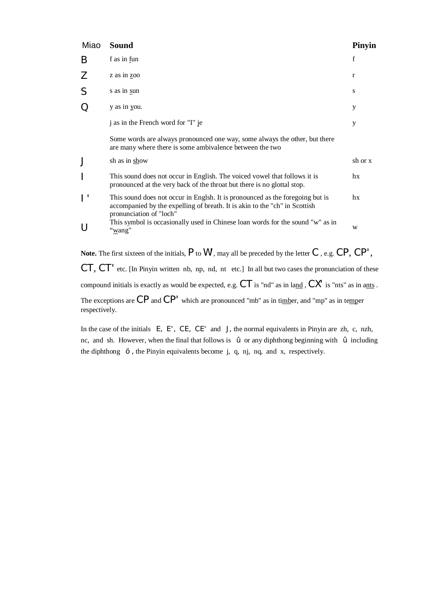| Miao | <b>Sound</b>                                                                                                                                                                           | Pinyin       |
|------|----------------------------------------------------------------------------------------------------------------------------------------------------------------------------------------|--------------|
| B    | f as in fun                                                                                                                                                                            | $\mathbf{f}$ |
| Z    | z as in zoo                                                                                                                                                                            | r            |
| S    | s as in sun                                                                                                                                                                            | S            |
| O    | y as in you.                                                                                                                                                                           | у            |
|      | j as in the French word for "I" je                                                                                                                                                     | y            |
|      | Some words are always pronounced one way, some always the other, but there<br>are many where there is some ambivalence between the two                                                 |              |
|      | sh as in show                                                                                                                                                                          | sh or x      |
|      | This sound does not occur in English. The voiced vowel that follows it is<br>pronounced at the very back of the throat but there is no glottal stop.                                   | hx           |
|      | This sound does not occur in Englsh. It is pronounced as the foregoing but is<br>accompanied by the expelling of breath. It is akin to the "ch" in Scottish<br>pronunciation of "loch" | hx           |
|      | This symbol is occasionally used in Chinese loan words for the sound "w" as in<br>"wang"                                                                                               | W            |

**Note.** The first sixteen of the initials, P to W', may all be preceded by the letter C , e.g. CP, CP', CT, CT' etc. [In Pinyin written nb, np, nd, nt etc.] In all but two cases the pronunciation of these compound initials is exactly as would be expected, e.g.  $CT$  is "nd" as in land,  $CX'$  is "nts" as in ants . The exceptions are CP and CP' which are pronounced "mb" as in timber, and "mp" as in temper respectively.

In the case of the initials  $E$ ,  $E'$ ,  $CE$ ,  $CE'$  and  $J$ , the normal equivalents in Pinyin are zh, c, nzh, nc, and sh. However, when the final that follows is ž or any diphthong beginning with ž including the diphthong š , the Pinyin equivalents become j, q, nj, nq, and x, respectively.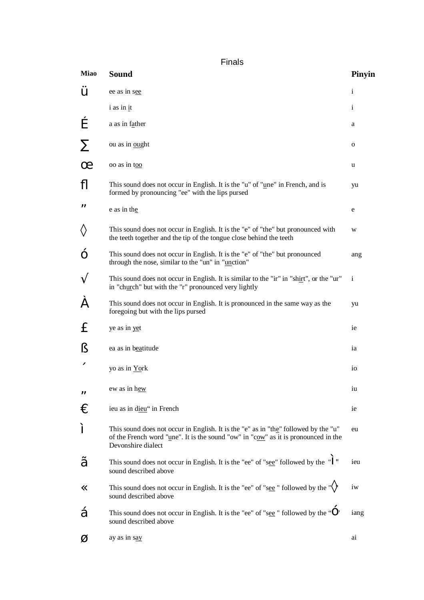Finals

| <b>Miao</b> | <b>Sound</b>                                                                                                                                                                                    | Pinyin          |
|-------------|-------------------------------------------------------------------------------------------------------------------------------------------------------------------------------------------------|-----------------|
| Ÿ           | ee as in see                                                                                                                                                                                    | $\mathbf{i}$    |
|             | i as in it                                                                                                                                                                                      | $\mathbf{i}$    |
|             | a as in father                                                                                                                                                                                  | a               |
|             | ou as in ought                                                                                                                                                                                  | 0               |
|             | oo as in too                                                                                                                                                                                    | u               |
| ß           | This sound does not occur in English. It is the "u" of "une" in French, and is<br>formed by pronouncing "ee" with the lips pursed                                                               | yu              |
| 0           | e as in the                                                                                                                                                                                     | e               |
| ×           | This sound does not occur in English. It is the "e" of "the" but pronounced with<br>the teeth together and the tip of the tongue close behind the teeth                                         | W               |
|             | This sound does not occur in English. It is the "e" of "the" but pronounced<br>through the nose, similar to the "un" in "unction"                                                               | ang             |
| A           | This sound does not occur in English. It is similar to the "ir" in "shirt", or the "ur"<br>in "church" but with the "r" pronounced very lightly                                                 | $\mathbf{i}$    |
| Ë           | This sound does not occur in English. It is pronounced in the same way as the<br>foregoing but with the lips pursed                                                                             | yu              |
| £           | ye as in yet                                                                                                                                                                                    | ie              |
| Ş           | ea as in beatitude                                                                                                                                                                              | ia              |
| 《           | yo as in York                                                                                                                                                                                   | 10 <sup>2</sup> |
| ã           | ew as in hew                                                                                                                                                                                    | iu              |
| Ū           | ieu as in dieu" in French                                                                                                                                                                       | ie              |
| П           | This sound does not occur in English. It is the "e" as in "the" followed by the "u"<br>of the French word "une". It is the sound "ow" in "cow" as it is pronounced in the<br>Devonshire dialect | eu              |
| ≺           | This sound does not occur in English. It is the "ee" of "see" followed by the $"''"$<br>sound described above                                                                                   | ieu             |
|             | This sound does not occur in English. It is the "ee" of "see" followed by the "X"<br>sound described above                                                                                      | iw              |
| ŧ           | This sound does not occur in English. It is the "ee" of "see" "followed by the " $-$ "<br>sound described above                                                                                 | iang            |
|             | ay as in say                                                                                                                                                                                    | ai              |